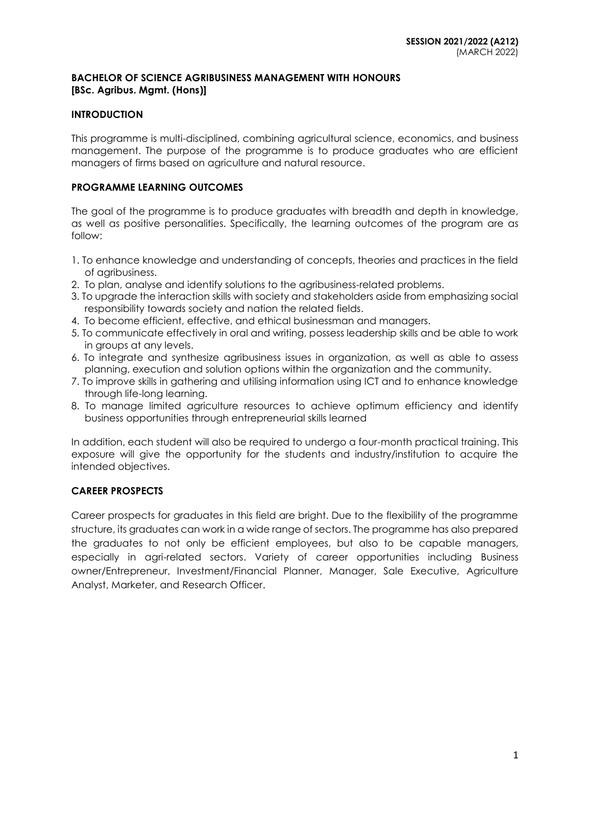#### **BACHELOR OF SCIENCE AGRIBUSINESS MANAGEMENT WITH HONOURS [BSc. Agribus. Mgmt. (Hons)]**

## **INTRODUCTION**

This programme is multi-disciplined, combining agricultural science, economics, and business management. The purpose of the programme is to produce graduates who are efficient managers of firms based on agriculture and natural resource.

## **PROGRAMME LEARNING OUTCOMES**

The goal of the programme is to produce graduates with breadth and depth in knowledge, as well as positive personalities. Specifically, the learning outcomes of the program are as follow:

- 1. To enhance knowledge and understanding of concepts, theories and practices in the field of agribusiness.
- 2. To plan, analyse and identify solutions to the agribusiness-related problems.
- 3. To upgrade the interaction skills with society and stakeholders aside from emphasizing social responsibility towards society and nation the related fields.
- 4. To become efficient, effective, and ethical businessman and managers.
- 5. To communicate effectively in oral and writing, possess leadership skills and be able to work in groups at any levels.
- 6. To integrate and synthesize agribusiness issues in organization, as well as able to assess planning, execution and solution options within the organization and the community.
- 7. To improve skills in gathering and utilising information using ICT and to enhance knowledge through life-long learning.
- 8. To manage limited agriculture resources to achieve optimum efficiency and identify business opportunities through entrepreneurial skills learned

In addition, each student will also be required to undergo a four-month practical training. This exposure will give the opportunity for the students and industry/institution to acquire the intended objectives.

## **CAREER PROSPECTS**

Career prospects for graduates in this field are bright. Due to the flexibility of the programme structure, its graduates can work in a wide range of sectors. The programme has also prepared the graduates to not only be efficient employees, but also to be capable managers, especially in agri-related sectors. Variety of career opportunities including Business owner/Entrepreneur, Investment/Financial Planner, Manager, Sale Executive, Agriculture Analyst, Marketer, and Research Officer.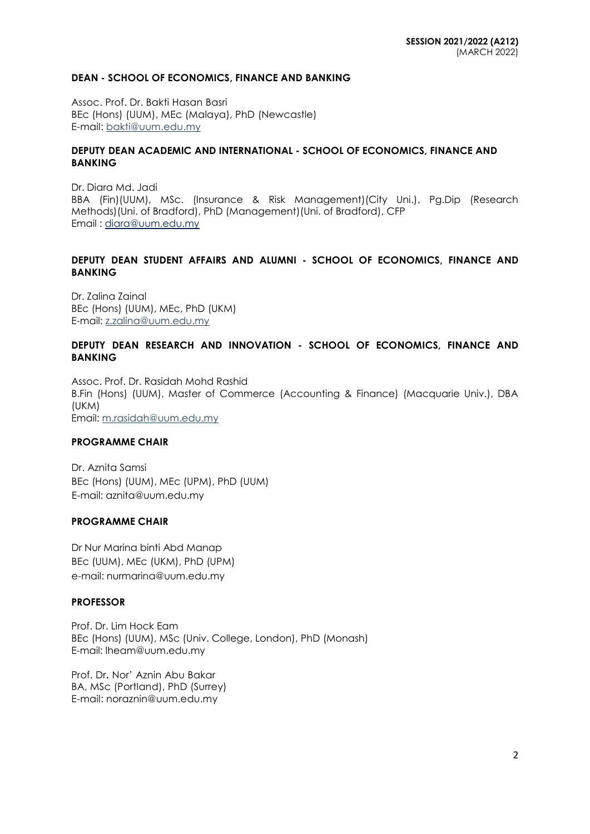#### **DEAN - SCHOOL OF ECONOMICS, FINANCE AND BANKING**

Assoc. Prof. Dr. Bakti Hasan Basri BEc (Hons) (UUM), MEc (Malaya), PhD (Newcastle) E-mail: [bakti@uum.edu.my](mailto:bakti@uum.edu.my)

#### **DEPUTY DEAN ACADEMIC AND INTERNATIONAL - SCHOOL OF ECONOMICS, FINANCE AND BANKING**

Dr. Diara Md. Jadi BBA (Fin)(UUM), MSc. (Insurance & Risk Management)(City Uni.), Pg.Dip (Research Methods)(Uni. of Bradford), PhD (Management)(Uni. of Bradford), CFP Email : [diara@uum.edu.my](mailto:diara@uum.edu.my)

## **DEPUTY DEAN STUDENT AFFAIRS AND ALUMNI - SCHOOL OF ECONOMICS, FINANCE AND BANKING**

Dr. Zalina Zainal BEc (Hons) (UUM), MEc, PhD (UKM) E-mail: [z.zalina@uum.edu.my](mailto:z.zalina@uum.edu.my)

### **DEPUTY DEAN RESEARCH AND INNOVATION - SCHOOL OF ECONOMICS, FINANCE AND BANKING**

Assoc. Prof. Dr. Rasidah Mohd Rashid B.Fin (Hons) (UUM), Master of Commerce (Accounting & Finance) (Macquarie Univ.), DBA (UKM) Email: [m.rasidah@uum.edu.my](mailto:m.rasidah@uum.edu.my)

### **PROGRAMME CHAIR**

Dr. Aznita Samsi BEc (Hons) (UUM), MEc (UPM), PhD (UUM) E-mail: aznita@uum.edu.my

## **PROGRAMME CHAIR**

Dr Nur Marina binti Abd Manap BEc (UUM), MEc (UKM), PhD (UPM) e-mail: nurmarina@uum.edu.my

### **PROFESSOR**

Prof. Dr. Lim Hock Eam BEc (Hons) (UUM), MSc (Univ. College, London), PhD (Monash) E-mail: [lheam@uum.edu.my](mailto:lheam@uum.edu.my)

Prof. Dr**.** Nor' Aznin Abu Bakar BA, MSc (Portland), PhD (Surrey) E-mail: [noraznin@uum.edu.my](mailto:noraznin@uum.edu.my)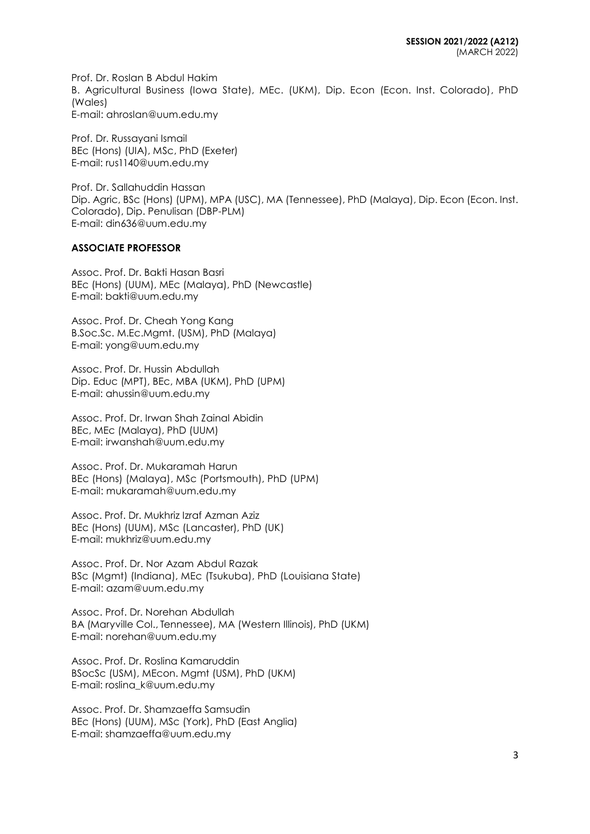Prof. Dr. Roslan B Abdul Hakim B. Agricultural Business (Iowa State), MEc. (UKM), Dip. Econ (Econ. Inst. Colorado), PhD (Wales) E-mail: ahroslan@uum.edu.my

Prof. Dr. Russayani Ismail BEc (Hons) (UIA), MSc, PhD (Exeter) E-mail: [rus1140@uum.edu.my](mailto:rus1140@uum.edu.my)

Prof. Dr. Sallahuddin Hassan Dip. Agric, BSc (Hons) (UPM), MPA (USC), MA (Tennessee), PhD (Malaya), Dip. Econ (Econ. Inst. Colorado), Dip. Penulisan (DBP-PLM) E-mail: [din636@uum.edu.my](mailto:din636@uum.edu.my)

#### **ASSOCIATE PROFESSOR**

Assoc. Prof. Dr. Bakti Hasan Basri BEc (Hons) (UUM), MEc (Malaya), PhD (Newcastle) E-mail: [bakti@uum.edu.my](mailto:bakti@uum.edu.my)

Assoc. Prof. Dr. Cheah Yong Kang B.Soc.Sc. M.Ec.Mgmt. (USM), PhD (Malaya) E-mail: [yong@uum.edu.my](mailto:yong@uum.edu.my)

Assoc. Prof. Dr. Hussin Abdullah Dip. Educ (MPT), BEc, MBA (UKM), PhD (UPM) E-mail: [ahussin@uum.edu.my](mailto:ahussin@uum.edu.my)

Assoc. Prof. Dr. Irwan Shah Zainal Abidin BEc, MEc (Malaya), PhD (UUM) E-mail: [irwanshah@uum.edu.my](mailto:irwanshah@uum.edu.my)

Assoc. Prof. Dr. Mukaramah Harun BEc (Hons) (Malaya), MSc (Portsmouth), PhD (UPM) E-mail: mukaramah@uum.edu.my

Assoc. Prof. Dr. Mukhriz Izraf Azman Aziz BEc (Hons) (UUM), MSc (Lancaster), PhD (UK) E-mail: [mukhriz@uum.edu.my](mailto:mukhriz@uum.edu.my)

Assoc. Prof. Dr. Nor Azam Abdul Razak BSc (Mgmt) (Indiana), MEc (Tsukuba), PhD (Louisiana State) E-mail: [azam@uum.edu.my](mailto:azam@uum.edu.my)

Assoc. Prof. Dr. Norehan Abdullah BA (Maryville Col., Tennessee), MA (Western Illinois), PhD (UKM) E-mail: [norehan@uum.edu.my](mailto:norehan@uum.edu.my)

Assoc. Prof. Dr. Roslina Kamaruddin BSocSc (USM), MEcon. Mgmt (USM), PhD (UKM) E-mail: [roslina\\_k@uum.edu.my](mailto:roslina_k@uum.edu.my)

Assoc. Prof. Dr. Shamzaeffa Samsudin BEc (Hons) (UUM), MSc (York), PhD (East Anglia) E-mail: shamzaeffa@uum.edu.my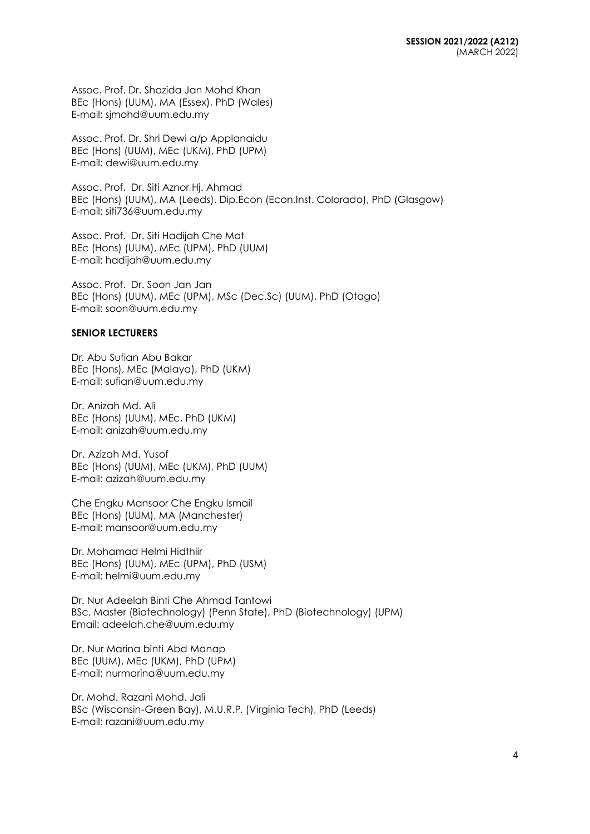Assoc. Prof. Dr. Shazida Jan Mohd Khan BEc (Hons) (UUM), MA (Essex), PhD (Wales) E-mail: [sjmohd@uum.edu.my](mailto:sjmohd@uum.edu.my)

Assoc. Prof. Dr. Shri Dewi a/p Applanaidu BEc (Hons) (UUM), MEc (UKM), PhD (UPM) E-mail: [dewi@uum.edu.my](mailto:dewi@uum.edu.my)

Assoc. Prof. Dr. Siti Aznor Hj. Ahmad BEc (Hons) (UUM), MA (Leeds), Dip.Econ (Econ.Inst. Colorado), PhD (Glasgow) E-mail: siti736@uum.edu.my

Assoc. Prof. Dr. Siti Hadijah Che Mat BEc (Hons) (UUM), MEc (UPM), PhD (UUM) E-mail: [hadijah@uum.edu.my](mailto:hadijah@uum.edu.my)

Assoc. Prof. Dr. Soon Jan Jan BEc (Hons) (UUM), MEc (UPM), MSc (Dec.Sc) (UUM), PhD (Otago) E-mail: soon@uum.edu.my

### **SENIOR LECTURERS**

Dr. Abu Sufian Abu Bakar BEc (Hons), MEc (Malaya), PhD (UKM) E-mail: [sufian@uum.edu.my](mailto:sufian@uum.edu.my)

Dr. Anizah Md. Ali BEc (Hons) (UUM), MEc, PhD (UKM) E-mail: [anizah@uum.edu.my](mailto:anizah@uum.edu.my)

Dr. Azizah Md. Yusof BEc (Hons) (UUM), MEc (UKM), PhD (UUM) E-mail: [azizah@uum.edu.my](mailto:azizah@uum.edu.my)

Che Engku Mansoor Che Engku Ismail BEc (Hons) (UUM), MA (Manchester) E-mail: [mansoor@uum.edu.my](mailto:mansoor@uum.edu.my)

Dr. Mohamad Helmi Hidthiir BEc (Hons) (UUM), MEc (UPM), PhD (USM) E-mail: helmi@uum.edu.my

Dr. Nur Adeelah Binti Che Ahmad Tantowi BSc, Master (Biotechnology) (Penn State), PhD (Biotechnology) (UPM) Email: adeelah.che@uum.edu.my

Dr. Nur Marina binti Abd Manap BEc (UUM), MEc (UKM), PhD (UPM) E-mail: nu[rmarina@uum.edu.my](mailto:marina@uum.edu.my)

Dr. Mohd. Razani Mohd. Jali BSc (Wisconsin-Green Bay), M.U.R.P. (Virginia Tech), PhD (Leeds) E-mail: [razani@uum.edu.my](mailto:razani@uum.edu.my)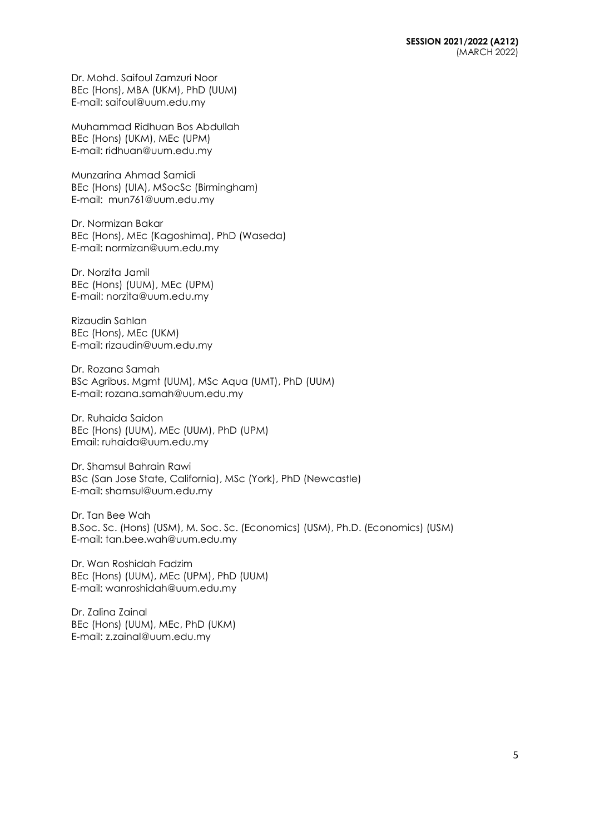Dr. Mohd. Saifoul Zamzuri Noor BEc (Hons), MBA (UKM), PhD (UUM) E-mail: [saifoul@uum.edu.my](mailto:saifoul@uum.edu.my)

Muhammad Ridhuan Bos Abdullah BEc (Hons) (UKM), MEc (UPM) E-mail: [ridhuan@uum.edu.my](mailto:ridhuan@uum.edu.my)

Munzarina Ahmad Samidi BEc (Hons) (UIA), MSocSc (Birmingham) E-mail: [mun761@uum.edu.my](mailto:mun761@uum.edu.my)

Dr. Normizan Bakar BEc (Hons), MEc (Kagoshima), PhD (Waseda) E-mail: [normizan@uum.edu.my](mailto:normizan@uum.edu.my)

Dr. Norzita Jamil BEc (Hons) (UUM), MEc (UPM) E-mail: [norzita@uum.edu.my](mailto:norzita@uum.edu.my)

Rizaudin Sahlan BEc (Hons), MEc (UKM) E-mail: [rizaudin@uum.edu.my](mailto:rizaudin@uum.edu.my)

Dr. Rozana Samah BSc Agribus. Mgmt (UUM), MSc Aqua (UMT), PhD (UUM) E-mail: rozana.samah@uum.edu.my

Dr. Ruhaida Saidon BEc (Hons) (UUM), MEc (UUM), PhD (UPM) Email: ruhaida@uum.edu.my

Dr. Shamsul Bahrain Rawi BSc (San Jose State, California), MSc (York), PhD (Newcastle) E-mail: [shamsul@uum.edu.my](mailto:shamsul@uum.edu.my)

Dr. Tan Bee Wah B.Soc. Sc. (Hons) (USM), M. Soc. Sc. (Economics) (USM), Ph.D. (Economics) (USM) E-mail: tan.bee.wah@uum.edu.my

Dr. Wan Roshidah Fadzim BEc (Hons) (UUM), MEc (UPM), PhD (UUM) E-mail: [wanroshidah@uum.edu.my](mailto:wanroshidah@uum.edu.my)

Dr. Zalina Zainal BEc (Hons) (UUM), MEc, PhD (UKM) E-mail: [z.zainal@uum.edu.my](mailto:z.zainal@uum.edu.my)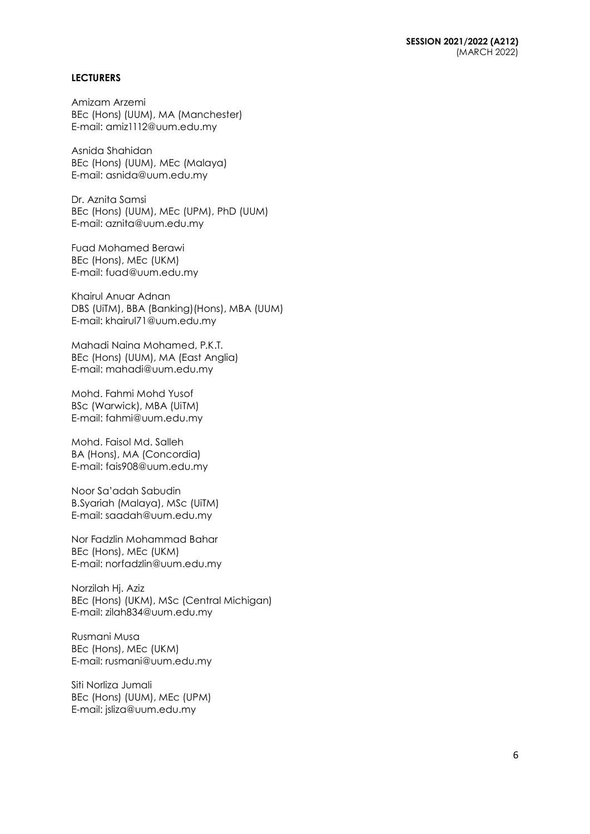#### **LECTURERS**

Amizam Arzemi BEc (Hons) (UUM), MA (Manchester) E-mail: [amiz1112@uum.edu.my](mailto:amiz1112@uum.edu.my)

Asnida Shahidan BEc (Hons) (UUM), MEc (Malaya) E-mail: [asnida@uum.edu.my](mailto:asnida@uum.edu.my)

Dr. Aznita Samsi BEc (Hons) (UUM), MEc (UPM), PhD (UUM) E-mail: [aznita@uum.edu.my](mailto:aznita@uum.edu.my)

Fuad Mohamed Berawi BEc (Hons), MEc (UKM) E-mail: [fuad@uum.edu.my](mailto:fuad@uum.edu.my)

Khairul Anuar Adnan DBS (UiTM), BBA (Banking)(Hons), MBA (UUM) E-mail: khairul71@uum.edu.my

Mahadi Naina Mohamed, P.K.T. BEc (Hons) (UUM), MA (East Anglia) E-mail: [mahadi@uum.edu.my](mailto:mahadi@uum.edu.my)

Mohd. Fahmi Mohd Yusof BSc (Warwick), MBA (UiTM) E-mail: [fahmi@uum.edu.my](mailto:fahmi@uum.edu.my)

Mohd. Faisol Md. Salleh BA (Hons), MA (Concordia) E-mail: [fais908@uum.edu.my](mailto:fais908@uum.edu.my)

Noor Sa'adah Sabudin B.Syariah (Malaya), MSc (UiTM) E-mail: [saadah@uum.edu.my](mailto:saadah@uum.edu.my)

Nor Fadzlin Mohammad Bahar BEc (Hons), MEc (UKM) E-mail: [norfadzlin@uum.edu.my](mailto:norfadzlin@uum.edu.my)

Norzilah Hj. Aziz BEc (Hons) (UKM), MSc (Central Michigan) E-mail: [zilah834@uum.edu.my](mailto:zilah834@uum.edu.my)

Rusmani Musa BEc (Hons), MEc (UKM) E-mail: [rusmani@uum.edu.my](mailto:rusmani@uum.edu.my)

Siti Norliza Jumali BEc (Hons) (UUM), MEc (UPM) E-mail: [jsliza@uum.edu.my](mailto:jsliza@uum.edu.my)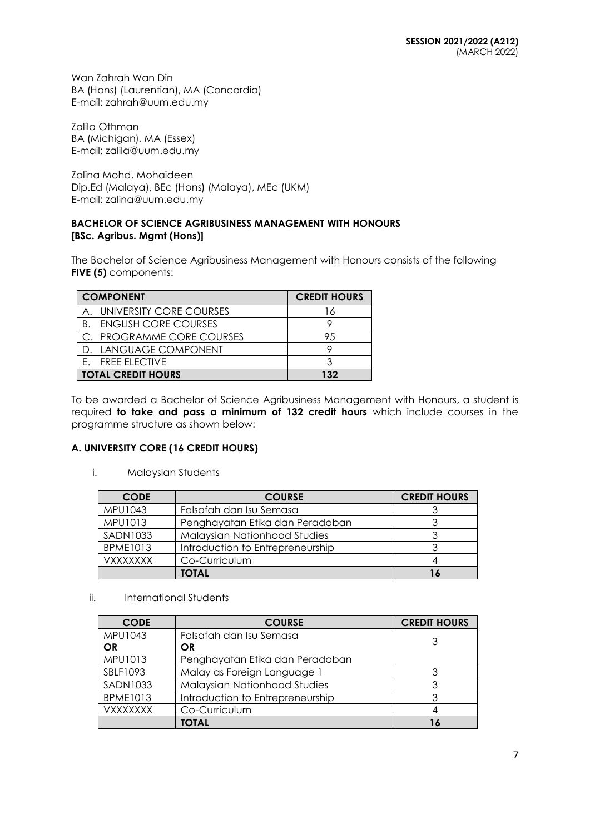Wan Zahrah Wan Din BA (Hons) (Laurentian), MA (Concordia) E-mail: [zahrah@uum.edu.my](mailto:zahrah@uum.edu.my)

Zalila Othman BA (Michigan), MA (Essex) E-mail: [zalila@uum.edu.my](mailto:zalila@uum.edu.my)

Zalina Mohd. Mohaideen Dip.Ed (Malaya), BEc (Hons) (Malaya), MEc (UKM) E-mail: [zalina@uum.edu.my](mailto:zalina@uum.edu.my)

## **BACHELOR OF SCIENCE AGRIBUSINESS MANAGEMENT WITH HONOURS [BSc. Agribus. Mgmt (Hons)]**

The Bachelor of Science Agribusiness Management with Honours consists of the following **FIVE (5)** components:

| <b>COMPONENT</b>                  | <b>CREDIT HOURS</b> |
|-----------------------------------|---------------------|
| UNIVERSITY CORE COURSES           | 16                  |
| <b>ENGLISH CORE COURSES</b><br>B. |                     |
| C. PROGRAMME CORE COURSES         | 95                  |
| D. LANGUAGE COMPONENT             |                     |
| E. FREE ELECTIVE                  |                     |
| <b>TOTAL CREDIT HOURS</b>         | 132                 |

To be awarded a Bachelor of Science Agribusiness Management with Honours, a student is required **to take and pass a minimum of 132 credit hours** which include courses in the programme structure as shown below:

## **A. UNIVERSITY CORE (16 CREDIT HOURS)**

i. Malaysian Students

| <b>CODE</b>     | <b>COURSE</b>                       | <b>CREDIT HOURS</b> |
|-----------------|-------------------------------------|---------------------|
| MPU1043         | Falsafah dan Isu Semasa             |                     |
| MPU1013         | Penghayatan Etika dan Peradaban     |                     |
| <b>SADN1033</b> | <b>Malaysian Nationhood Studies</b> |                     |
| <b>BPME1013</b> | Introduction to Entrepreneurship    |                     |
| VXXXXXXX        | Co-Curriculum                       |                     |
|                 | TOTAL                               |                     |

ii. International Students

| <b>CODE</b>     | <b>COURSE</b>                    | <b>CREDIT HOURS</b> |
|-----------------|----------------------------------|---------------------|
| <b>MPU1043</b>  | Falsafah dan Isu Semasa          | 3                   |
| <b>OR</b>       | OR                               |                     |
| MPU1013         | Penghayatan Etika dan Peradaban  |                     |
| SBLF1093        | Malay as Foreign Language 1      |                     |
| <b>SADN1033</b> | Malaysian Nationhood Studies     |                     |
| <b>BPME1013</b> | Introduction to Entrepreneurship |                     |
| <b>VXXXXXXX</b> | Co-Curriculum                    |                     |
|                 | TOTAL                            |                     |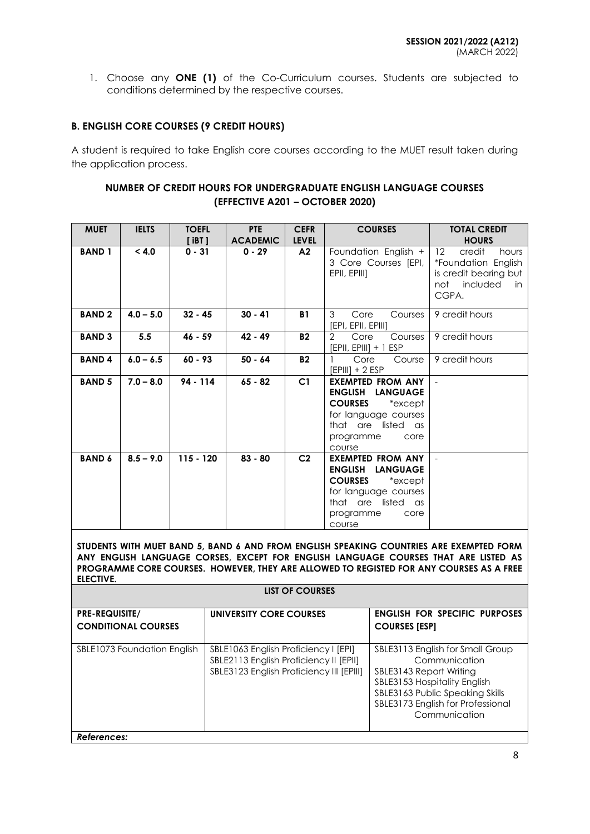1. Choose any **ONE (1)** of the Co-Curriculum courses. Students are subjected to conditions determined by the respective courses.

## **B. ENGLISH CORE COURSES (9 CREDIT HOURS)**

A student is required to take English core courses according to the MUET result taken during the application process.

## **NUMBER OF CREDIT HOURS FOR UNDERGRADUATE ENGLISH LANGUAGE COURSES (EFFECTIVE A201 – OCTOBER 2020)**

| <b>MUET</b>   | <b>IELTS</b> | <b>TOEFL</b><br><b>iBT</b> 1 | <b>PTE</b><br><b>ACADEMIC</b> | <b>CEFR</b><br><b>LEVEL</b> | <b>COURSES</b>                                                                                                                                                | <b>TOTAL CREDIT</b><br><b>HOURS</b>                                                                                     |
|---------------|--------------|------------------------------|-------------------------------|-----------------------------|---------------------------------------------------------------------------------------------------------------------------------------------------------------|-------------------------------------------------------------------------------------------------------------------------|
| <b>BAND 1</b> | < 4.0        | $0 - 31$                     | $0 - 29$                      | A2                          | Foundation English +<br>3 Core Courses [EPI,<br>EPII, EPIII]                                                                                                  | $12 \overline{ }$<br>credit<br>hours<br>*Foundation English<br>is credit bearing but<br>included<br>not<br>in.<br>CGPA. |
| <b>BAND2</b>  | $4.0 - 5.0$  | $32 - 45$                    | $30 - 41$                     | <b>B1</b>                   | 3<br>Core<br>Courses<br>[EPI, EPII, EPIII]                                                                                                                    | 9 credit hours                                                                                                          |
| <b>BAND 3</b> | 5.5          | $46 - 59$                    | $42 - 49$                     | <b>B2</b>                   | $\overline{2}$<br>Core<br>Courses<br>$[EPII, EPIII] + 1 ESP$                                                                                                  | 9 credit hours                                                                                                          |
| <b>BAND4</b>  | $6.0 - 6.5$  | $60 - 93$                    | $50 - 64$                     | <b>B2</b>                   | Core<br>Course<br>$[EPIII] + 2 ESP$                                                                                                                           | 9 credit hours                                                                                                          |
| <b>BAND 5</b> | $7.0 - 8.0$  | $94 - 114$                   | $65 - 82$                     | C1                          | <b>EXEMPTED FROM ANY</b><br>ENGLISH LANGUAGE<br><b>COURSES</b><br>*except<br>for language courses<br>that are listed as<br>programme<br>core<br>course        | $\equiv$                                                                                                                |
| <b>BAND 6</b> | $8.5 - 9.0$  | $115 - 120$                  | $83 - 80$                     | C <sub>2</sub>              | <b>EXEMPTED FROM ANY</b><br><b>ENGLISH LANGUAGE</b><br><b>COURSES</b><br>*except<br>for language courses<br>that are listed as<br>programme<br>core<br>course |                                                                                                                         |

**STUDENTS WITH MUET BAND 5, BAND 6 AND FROM ENGLISH SPEAKING COUNTRIES ARE EXEMPTED FORM ANY ENGLISH LANGUAGE CORSES, EXCEPT FOR ENGLISH LANGUAGE COURSES THAT ARE LISTED AS PROGRAMME CORE COURSES. HOWEVER, THEY ARE ALLOWED TO REGISTED FOR ANY COURSES AS A FREE ELECTIVE.**

| LIST OF COURSES |  |
|-----------------|--|
|-----------------|--|

| PRE-REQUISITE/<br><b>CONDITIONAL COURSES</b> | UNIVERSITY CORE COURSES                                                                                                    | <b>ENGLISH FOR SPECIFIC PURPOSES</b><br><b>COURSES [ESP]</b>                                                                                                                                          |
|----------------------------------------------|----------------------------------------------------------------------------------------------------------------------------|-------------------------------------------------------------------------------------------------------------------------------------------------------------------------------------------------------|
| SBLE1073 Foundation English                  | SBLE1063 English Proficiency I [EPI]<br>SBLE2113 English Proficiency II [EPII]<br>SBLE3123 English Proficiency III [EPIII] | SBLE3113 English for Small Group<br>Communication<br>SBLE3143 Report Writing<br>SBLE3153 Hospitality English<br>SBLE3163 Public Speaking Skills<br>SBLE3173 English for Professional<br>Communication |
| References:                                  |                                                                                                                            |                                                                                                                                                                                                       |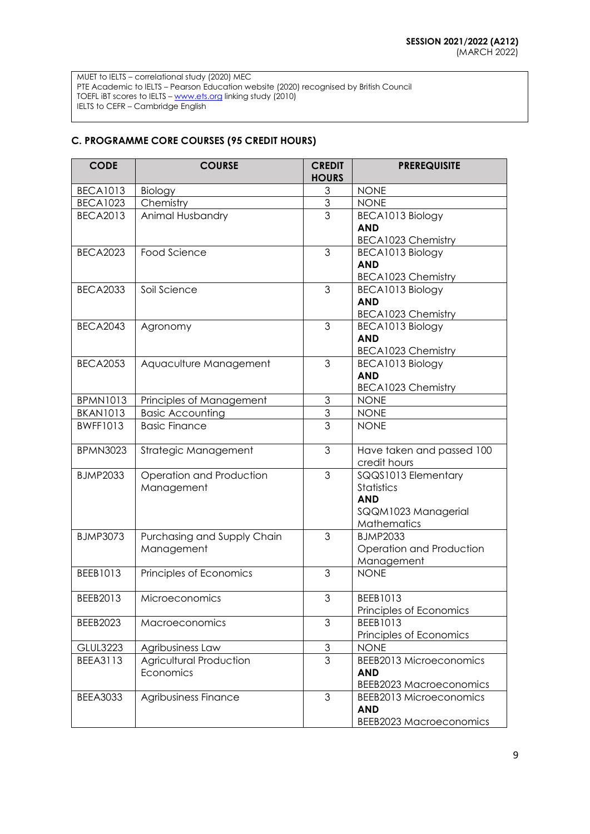MUET to IELTS – correlational study (2020) MEC PTE Academic to IELTS – Pearson Education website (2020) recognised by British Council TOEFL iBT scores to IELTS – <u>[www.ets.org](http://www.ets.org/)</u> linking study (2010) IELTS to CEFR – Cambridge English

# **C. PROGRAMME CORE COURSES (95 CREDIT HOURS)**

| <b>CODE</b>     | <b>COURSE</b>                               | <b>CREDIT</b><br><b>HOURS</b> | <b>PREREQUISITE</b>                                                                   |
|-----------------|---------------------------------------------|-------------------------------|---------------------------------------------------------------------------------------|
| <b>BECA1013</b> | Biology                                     | 3                             | <b>NONE</b>                                                                           |
| <b>BECA1023</b> | Chemistry                                   | $\mathfrak{S}$                | <b>NONE</b>                                                                           |
| <b>BECA2013</b> | Animal Husbandry                            | 3                             | BECA1013 Biology<br><b>AND</b><br><b>BECA1023 Chemistry</b>                           |
| <b>BECA2023</b> | Food Science                                | 3                             | BECA1013 Biology<br><b>AND</b><br><b>BECA1023 Chemistry</b>                           |
| <b>BECA2033</b> | Soil Science                                | 3                             | BECA1013 Biology<br><b>AND</b><br>BECA1023 Chemistry                                  |
| <b>BECA2043</b> | Agronomy                                    | 3                             | BECA1013 Biology<br><b>AND</b><br><b>BECA1023 Chemistry</b>                           |
| <b>BECA2053</b> | Aquaculture Management                      | 3                             | BECA1013 Biology<br><b>AND</b><br><b>BECA1023 Chemistry</b>                           |
| <b>BPMN1013</b> | Principles of Management                    | 3                             | <b>NONE</b>                                                                           |
| <b>BKAN1013</b> | <b>Basic Accounting</b>                     | 3                             | <b>NONE</b>                                                                           |
| <b>BWFF1013</b> | <b>Basic Finance</b>                        | 3                             | <b>NONE</b>                                                                           |
| <b>BPMN3023</b> | Strategic Management                        | 3                             | Have taken and passed 100<br>credit hours                                             |
| <b>BJMP2033</b> | Operation and Production<br>Management      | 3                             | SQQS1013 Elementary<br>Statistics<br><b>AND</b><br>SQQM1023 Managerial<br>Mathematics |
| <b>BJMP3073</b> | Purchasing and Supply Chain<br>Management   | 3                             | <b>BJMP2033</b><br>Operation and Production<br>Management                             |
| BEEB1013        | Principles of Economics                     | 3                             | <b>NONE</b>                                                                           |
| BEEB2013        | Microeconomics                              | 3                             | BEEB1013<br>Principles of Economics                                                   |
| BEEB2023        | Macroeconomics                              | 3                             | BEEB1013<br>Principles of Economics                                                   |
| <b>GLUL3223</b> | Agribusiness Law                            | $\mathfrak 3$                 | <b>NONE</b>                                                                           |
| <b>BEEA3113</b> | <b>Agricultural Production</b><br>Economics | 3                             | <b>BEEB2013 Microeconomics</b><br><b>AND</b><br><b>BEEB2023 Macroeconomics</b>        |
| <b>BEEA3033</b> | Agribusiness Finance                        | 3                             | <b>BEEB2013 Microeconomics</b><br><b>AND</b><br><b>BEEB2023 Macroeconomics</b>        |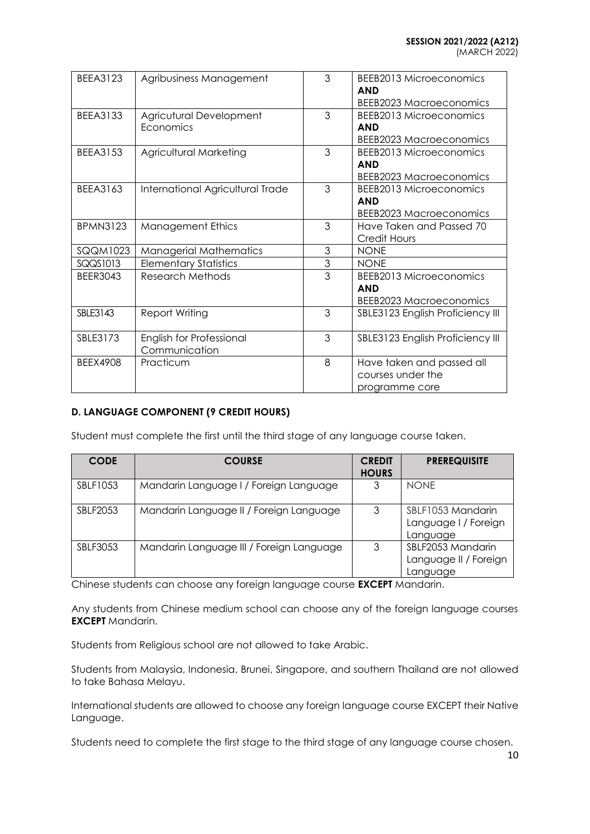| BFFA3123        | Agribusiness Management                   | 3 | <b>BEEB2013 Microeconomics</b><br><b>AND</b><br><b>BEEB2023 Macroeconomics</b> |
|-----------------|-------------------------------------------|---|--------------------------------------------------------------------------------|
| <b>BEEA3133</b> | Agricutural Development<br>Economics      | 3 | BEEB2013 Microeconomics<br><b>AND</b><br><b>BEEB2023 Macroeconomics</b>        |
| <b>BEEA3153</b> | Agricultural Marketing                    | 3 | BEEB2013 Microeconomics<br><b>AND</b><br><b>BEEB2023 Macroeconomics</b>        |
| BEEA3163        | International Agricultural Trade          | 3 | BEEB2013 Microeconomics<br><b>AND</b><br><b>BEEB2023 Macroeconomics</b>        |
| <b>BPMN3123</b> | <b>Management Ethics</b>                  | 3 | Have Taken and Passed 70<br>Credit Hours                                       |
| SQQM1023        | <b>Managerial Mathematics</b>             | 3 | <b>NONE</b>                                                                    |
| SQQS1013        | <b>Elementary Statistics</b>              | 3 | <b>NONE</b>                                                                    |
| BEER3043        | Research Methods                          | 3 | BEEB2013 Microeconomics<br><b>AND</b><br><b>BEEB2023 Macroeconomics</b>        |
| SBLE3143        | Report Writing                            | 3 | SBLE3123 English Proficiency III                                               |
| SBLE3173        | English for Professional<br>Communication | 3 | SBLE3123 English Proficiency III                                               |
| <b>BEEX4908</b> | Practicum                                 | 8 | Have taken and passed all<br>courses under the<br>programme core               |

## **D. LANGUAGE COMPONENT (9 CREDIT HOURS)**

Student must complete the first until the third stage of any language course taken.

| <b>CODE</b>     | <b>COURSE</b>                            | <b>CREDIT</b><br><b>HOURS</b> | <b>PREREQUISITE</b>                                    |
|-----------------|------------------------------------------|-------------------------------|--------------------------------------------------------|
| SBLF1053        | Mandarin Language I / Foreign Language   | 3                             | <b>NONE</b>                                            |
| <b>SBLF2053</b> | Mandarin Language II / Foreign Language  | 3                             | SBLF1053 Mandarin<br>Language I / Foreign<br>Language  |
| <b>SBLF3053</b> | Mandarin Language III / Foreign Language | 3                             | SBLF2053 Mandarin<br>Language II / Foreign<br>Language |

Chinese students can choose any foreign language course **EXCEPT** Mandarin.

Any students from Chinese medium school can choose any of the foreign language courses **EXCEPT** Mandarin.

Students from Religious school are not allowed to take Arabic.

Students from Malaysia, Indonesia, Brunei, Singapore, and southern Thailand are not allowed to take Bahasa Melayu.

International students are allowed to choose any foreign language course EXCEPT their Native Language.

Students need to complete the first stage to the third stage of any language course chosen.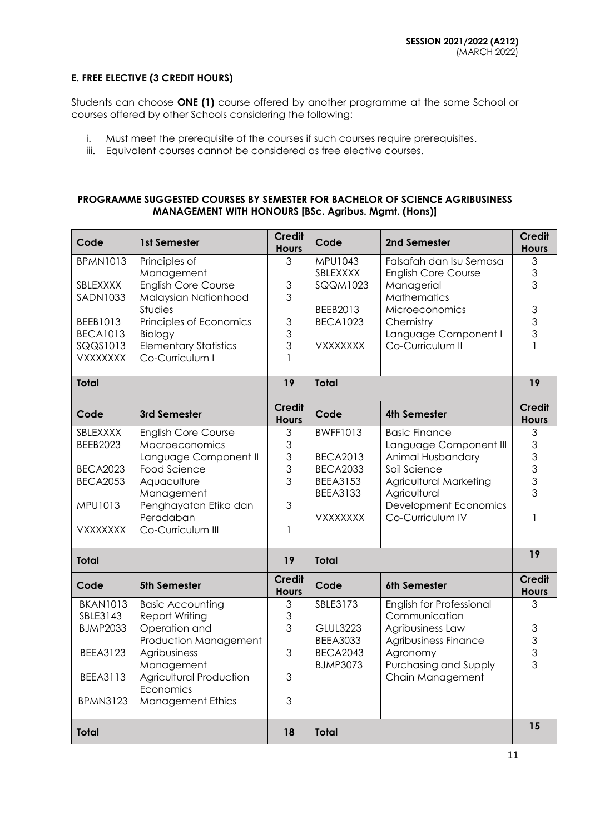## **E. FREE ELECTIVE (3 CREDIT HOURS)**

Students can choose **ONE (1)** course offered by another programme at the same School or courses offered by other Schools considering the following:

- i. Must meet the prerequisite of the courses if such courses require prerequisites.
- iii. Equivalent courses cannot be considered as free elective courses.

## **PROGRAMME SUGGESTED COURSES BY SEMESTER FOR BACHELOR OF SCIENCE AGRIBUSINESS MANAGEMENT WITH HONOURS [BSc. Agribus. Mgmt. (Hons)]**

| Code                        | 1st Semester                              | <b>Credit</b><br><b>Hours</b> | Code                        | 2nd Semester                                          | <b>Credit</b><br><b>Hours</b> |
|-----------------------------|-------------------------------------------|-------------------------------|-----------------------------|-------------------------------------------------------|-------------------------------|
| <b>BPMN1013</b>             | Principles of<br>Management               | 3                             | MPU1043<br>SBLEXXXX         | Falsafah dan Isu Semasa<br><b>English Core Course</b> | $\mathfrak 3$<br>3            |
| SBLEXXXX                    | <b>English Core Course</b>                | 3                             | <b>SQQM1023</b>             | Managerial                                            | 3                             |
| <b>SADN1033</b>             | Malaysian Nationhood                      | 3                             |                             | Mathematics                                           |                               |
| BEEB1013                    | <b>Studies</b><br>Principles of Economics | 3                             | BEEB2013<br><b>BECA1023</b> | Microeconomics<br>Chemistry                           | $\mathfrak{S}$<br>3           |
| <b>BECA1013</b>             | Biology                                   | 3                             |                             | Language Component I                                  | 3                             |
| SQQS1013                    | <b>Elementary Statistics</b>              | 3                             | <b>VXXXXXXX</b>             | Co-Curriculum II                                      |                               |
| <b>VXXXXXXX</b>             | Co-Curriculum I                           | $\mathbf{1}$                  |                             |                                                       |                               |
| <b>Total</b>                |                                           | 19                            | Total                       |                                                       | $\overline{19}$               |
| Code                        | 3rd Semester                              | <b>Credit</b><br><b>Hours</b> | Code                        | 4th Semester                                          | <b>Credit</b><br><b>Hours</b> |
| SBLEXXXX                    | <b>English Core Course</b>                | 3                             | <b>BWFF1013</b>             | <b>Basic Finance</b>                                  | 3                             |
| <b>BEEB2023</b>             | Macroeconomics<br>Language Component II   | 3<br>3                        | <b>BECA2013</b>             | Language Component III<br>Animal Husbandary           | 3<br>3                        |
| <b>BECA2023</b>             | Food Science                              | 3                             | <b>BECA2033</b>             | Soil Science                                          | $\overline{3}$                |
| <b>BECA2053</b>             | Aquaculture                               | 3                             | <b>BEEA3153</b>             | Agricultural Marketing                                | 3                             |
| MPU1013                     | Management<br>Penghayatan Etika dan       | 3                             | <b>BEEA3133</b>             | Agricultural<br><b>Development Economics</b>          | 3                             |
|                             | Peradaban                                 |                               | <b>VXXXXXXX</b>             | Co-Curriculum IV                                      | 1                             |
| <b>VXXXXXXX</b>             | Co-Curriculum III                         | $\mathbf{1}$                  |                             |                                                       |                               |
| <b>Total</b>                |                                           | 19                            | <b>Total</b>                |                                                       | 19                            |
| Code                        | 5th Semester                              | <b>Credit</b><br><b>Hours</b> | Code                        | 6th Semester                                          | <b>Credit</b><br><b>Hours</b> |
| <b>BKAN1013</b>             | <b>Basic Accounting</b>                   | 3                             | SBLE3173                    | English for Professional                              | 3                             |
| SBLE3143<br><b>BJMP2033</b> | <b>Report Writing</b><br>Operation and    | 3<br>3                        | <b>GLUL3223</b>             | Communication<br>Agribusiness Law                     | $\mathfrak{S}$                |
|                             | Production Management                     |                               | <b>BEEA3033</b>             | Agribusiness Finance                                  | $\mathfrak{S}$                |
| <b>BEEA3123</b>             | Agribusiness                              | 3                             | <b>BECA2043</b>             | Agronomy                                              | 3                             |
| <b>BEEA3113</b>             | Management<br>Agricultural Production     | 3                             | <b>BJMP3073</b>             | Purchasing and Supply<br>Chain Management             | $\overline{3}$                |
|                             | Economics                                 |                               |                             |                                                       |                               |
| <b>BPMN3123</b>             | <b>Management Ethics</b>                  | 3                             |                             |                                                       |                               |
| <b>Total</b>                |                                           | 18                            | <b>Total</b>                |                                                       | 15                            |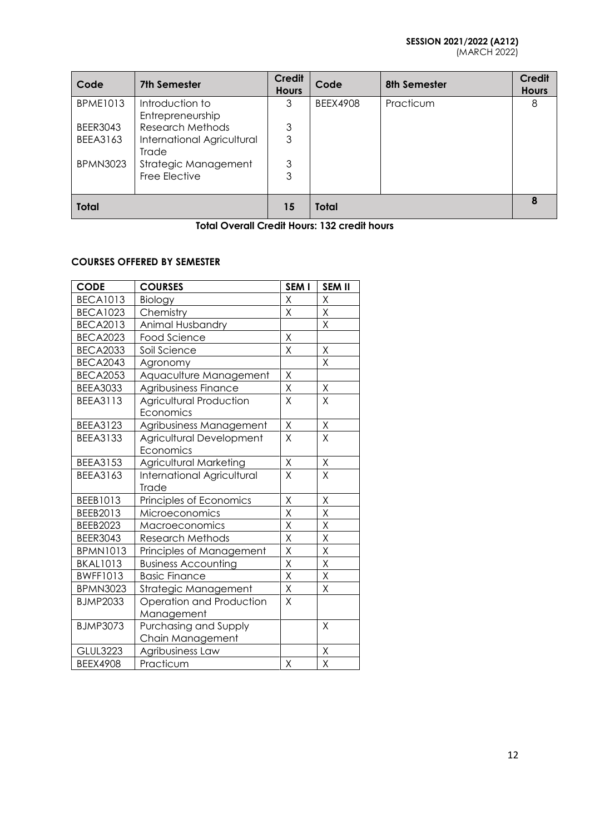#### **SESSION 2021/2022 (A212)** (MARCH 2022)

| Code            | <b>7th Semester</b>                 | Credit<br><b>Hours</b> | Code            | 8th Semester | <b>Credit</b><br><b>Hours</b> |
|-----------------|-------------------------------------|------------------------|-----------------|--------------|-------------------------------|
| <b>BPME1013</b> | Introduction to<br>Entrepreneurship | 3                      | <b>BEEX4908</b> | Practicum    | 8                             |
| <b>BEER3043</b> | <b>Research Methods</b>             | 3                      |                 |              |                               |
| <b>BEEA3163</b> | International Agricultural<br>Trade | 3                      |                 |              |                               |
| <b>BPMN3023</b> | Strategic Management                | 3                      |                 |              |                               |
|                 | Free Elective                       | 3                      |                 |              |                               |
| <b>Total</b>    |                                     | 15                     | <b>Total</b>    |              |                               |

**Total Overall Credit Hours: 132 credit hours**

## **COURSES OFFERED BY SEMESTER**

| <b>CODE</b>     | <b>COURSES</b>                 | SEM I                   | <b>SEM II</b>           |
|-----------------|--------------------------------|-------------------------|-------------------------|
| <b>BECA1013</b> | Biology                        | Χ                       | Χ                       |
| <b>BECA1023</b> | Chemistry                      | Χ                       | Χ                       |
| <b>BECA2013</b> | Animal Husbandry               |                         | X                       |
| <b>BECA2023</b> | <b>Food Science</b>            | $\mathsf X$             |                         |
| <b>BECA2033</b> | Soil Science                   | $\overline{\mathsf{X}}$ | $\mathsf X$             |
| <b>BECA2043</b> | Agronomy                       |                         | X                       |
| <b>BECA2053</b> | Aquaculture Management         | Χ                       |                         |
| <b>BEEA3033</b> | Agribusiness Finance           | $\overline{X}$          | $\mathsf X$             |
| <b>BEEA3113</b> | <b>Agricultural Production</b> | X                       | Χ                       |
|                 | Economics                      |                         |                         |
| <b>BEEA3123</b> | Agribusiness Management        | Χ                       | Χ                       |
| <b>BEEA3133</b> | Agricultural Development       | $\overline{\mathsf{X}}$ | X                       |
|                 | Economics                      |                         |                         |
| <b>BEEA3153</b> | <b>Agricultural Marketing</b>  | Χ                       | Χ                       |
| <b>BEEA3163</b> | International Agricultural     | X                       | X                       |
|                 | Trade                          |                         |                         |
| BEEB1013        | Principles of Economics        | Χ                       | Χ                       |
| BEEB2013        | Microeconomics                 | $\overline{\mathsf{x}}$ | X                       |
| BEEB2023        | Macroeconomics                 | $\overline{\mathsf{X}}$ | Χ                       |
| <b>BEER3043</b> | <b>Research Methods</b>        | $\overline{\mathsf{x}}$ | $\overline{\mathsf{X}}$ |
| <b>BPMN1013</b> | Principles of Management       | $\overline{X}$          | X                       |
| <b>BKAL1013</b> | <b>Business Accounting</b>     | Χ                       | Χ                       |
| <b>BWFF1013</b> | <b>Basic Finance</b>           | $\overline{X}$          | X                       |
| <b>BPMN3023</b> | Strategic Management           | $\mathsf X$             | Χ                       |
| <b>BJMP2033</b> | Operation and Production       | X                       |                         |
|                 | Management                     |                         |                         |
| <b>BJMP3073</b> | Purchasing and Supply          |                         | Χ                       |
|                 | Chain Management               |                         |                         |
| <b>GLUL3223</b> | Agribusiness Law               |                         | Χ                       |
| <b>BEEX4908</b> | Practicum                      | $\sf X$                 | X                       |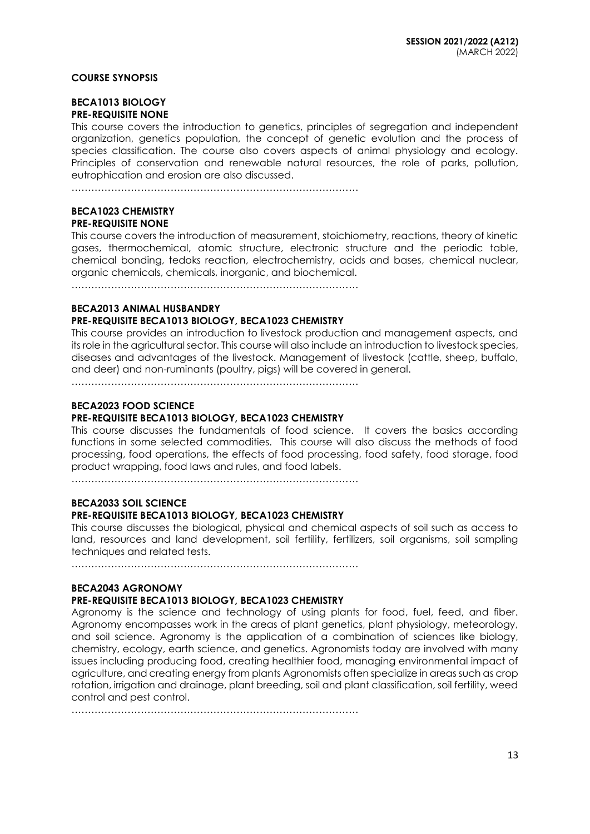#### **COURSE SYNOPSIS**

#### **BECA1013 BIOLOGY PRE-REQUISITE NONE**

This course covers the introduction to genetics, principles of segregation and independent organization, genetics population, the concept of genetic evolution and the process of species classification. The course also covers aspects of animal physiology and ecology. Principles of conservation and renewable natural resources, the role of parks, pollution, eutrophication and erosion are also discussed.

……………………………………………………………………………

#### **BECA1023 CHEMISTRY PRE-REQUISITE NONE**

This course covers the introduction of measurement, stoichiometry, reactions, theory of kinetic gases, thermochemical, atomic structure, electronic structure and the periodic table, chemical bonding, tedoks reaction, electrochemistry, acids and bases, chemical nuclear, organic chemicals, chemicals, inorganic, and biochemical.

……………………………………………………………………………

#### **BECA2013 ANIMAL HUSBANDRY**

### **PRE-REQUISITE BECA1013 BIOLOGY, BECA1023 CHEMISTRY**

This course provides an introduction to livestock production and management aspects, and its role in the agricultural sector. This course will also include an introduction to livestock species, diseases and advantages of the livestock. Management of livestock (cattle, sheep, buffalo, and deer) and non-ruminants (poultry, pigs) will be covered in general.

……………………………………………………………………………

## **BECA2023 FOOD SCIENCE**

## **PRE-REQUISITE BECA1013 BIOLOGY, BECA1023 CHEMISTRY**

This course discusses the fundamentals of food science. It covers the basics according functions in some selected commodities. This course will also discuss the methods of food processing, food operations, the effects of food processing, food safety, food storage, food product wrapping, food laws and rules, and food labels.

……………………………………………………………………………

## **BECA2033 SOIL SCIENCE**

### **PRE-REQUISITE BECA1013 BIOLOGY, BECA1023 CHEMISTRY**

This course discusses the biological, physical and chemical aspects of soil such as access to land, resources and land development, soil fertility, fertilizers, soil organisms, soil sampling techniques and related tests.

……………………………………………………………………………

### **BECA2043 AGRONOMY**

### **PRE-REQUISITE BECA1013 BIOLOGY, BECA1023 CHEMISTRY**

Agronomy is the science and technology of using plants for food, fuel, feed, and fiber. Agronomy encompasses work in the areas of plant genetics, plant physiology, meteorology, and soil science. Agronomy is the application of a combination of sciences like biology, chemistry, ecology, earth science, and genetics. Agronomists today are involved with many issues including producing food, creating healthier food, managing environmental impact of agriculture, and creating energy from plants Agronomists often specialize in areas such as crop rotation, irrigation and drainage, plant breeding, soil and plant classification, soil fertility, weed control and pest control.

……………………………………………………………………………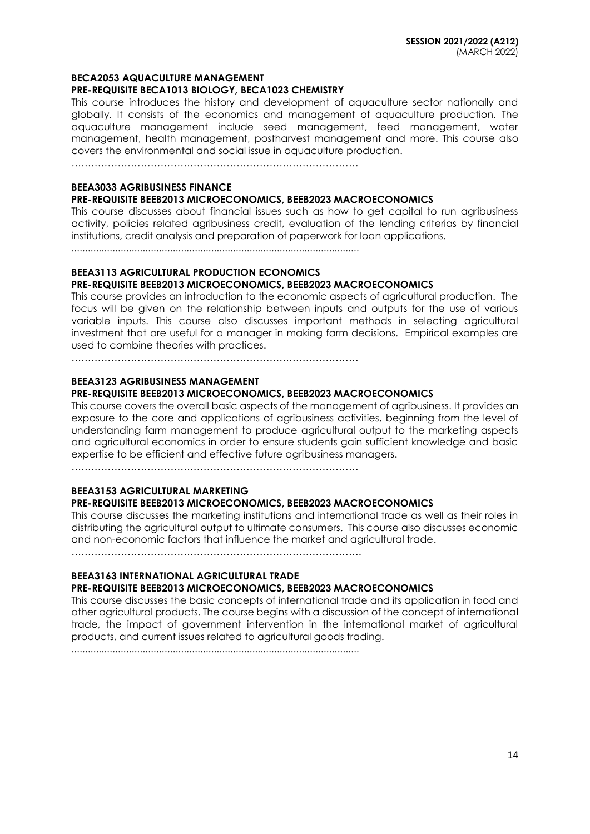#### **BECA2053 AQUACULTURE MANAGEMENT**

#### **PRE-REQUISITE BECA1013 BIOLOGY, BECA1023 CHEMISTRY**

This course introduces the history and development of aquaculture sector nationally and globally. It consists of the economics and management of aquaculture production. The aquaculture management include seed management, feed management, water management, health management, postharvest management and more. This course also covers the environmental and social issue in aquaculture production.

……………………………………………………………………………

### **BEEA3033 AGRIBUSINESS FINANCE**

#### **PRE-REQUISITE BEEB2013 MICROECONOMICS, BEEB2023 MACROECONOMICS**

This course discusses about financial issues such as how to get capital to run agribusiness activity, policies related agribusiness credit, evaluation of the lending criterias by financial institutions, credit analysis and preparation of paperwork for loan applications.

.........................................................................................................

### **BEEA3113 AGRICULTURAL PRODUCTION ECONOMICS**

### **PRE-REQUISITE BEEB2013 MICROECONOMICS, BEEB2023 MACROECONOMICS**

This course provides an introduction to the economic aspects of agricultural production. The focus will be given on the relationship between inputs and outputs for the use of various variable inputs. This course also discusses important methods in selecting agricultural investment that are useful for a manager in making farm decisions. Empirical examples are used to combine theories with practices.

……………………………………………………………………………

#### **BEEA3123 AGRIBUSINESS MANAGEMENT PRE-REQUISITE BEEB2013 MICROECONOMICS, BEEB2023 MACROECONOMICS**

This course covers the overall basic aspects of the management of agribusiness. It provides an exposure to the core and applications of agribusiness activities, beginning from the level of understanding farm management to produce agricultural output to the marketing aspects and agricultural economics in order to ensure students gain sufficient knowledge and basic expertise to be efficient and effective future agribusiness managers.

……………………………………………………………………………

#### **BEEA3153 AGRICULTURAL MARKETING PRE-REQUISITE BEEB2013 MICROECONOMICS, BEEB2023 MACROECONOMICS**

This course discusses the marketing institutions and international trade as well as their roles in distributing the agricultural output to ultimate consumers. This course also discusses economic and non-economic factors that influence the market and agricultural trade.

…………………………………………………………………………….

## **BEEA3163 INTERNATIONAL AGRICULTURAL TRADE**

### **PRE-REQUISITE BEEB2013 MICROECONOMICS, BEEB2023 MACROECONOMICS**

This course discusses the basic concepts of international trade and its application in food and other agricultural products. The course begins with a discussion of the concept of international trade, the impact of government intervention in the international market of agricultural products, and current issues related to agricultural goods trading.

.........................................................................................................